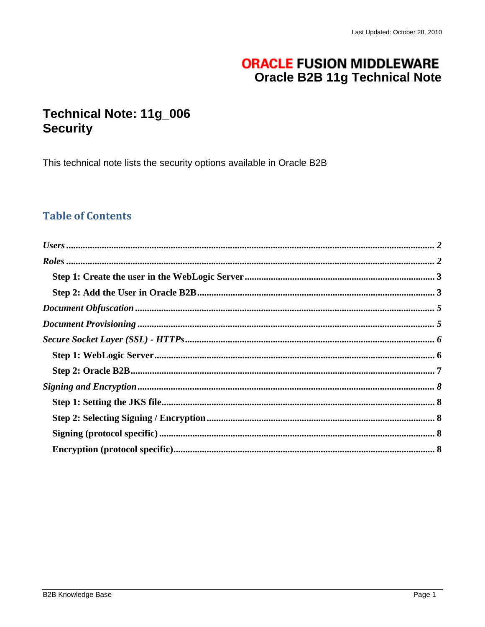# **ORACLE FUSION MIDDLEWARE Oracle B2B 11g Technical Note**

# **Technical Note: 11g\_006 Security**

This technical note lists the security options available in Oracle B2B

## **Table of Contents**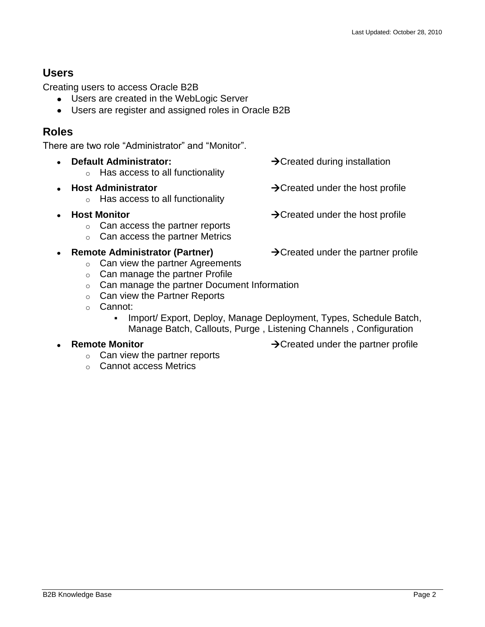# <span id="page-1-0"></span>**Users**

Creating users to access Oracle B2B

- Users are created in the WebLogic Server
- Users are register and assigned roles in Oracle B2B

# <span id="page-1-1"></span>**Roles**

There are two role "Administrator" and "Monitor".

- Default Administrator:  $\rightarrow$  Created during installation  $\circ$  Has access to all functionality **Host Administrator** CREATE **Host Administrator** CREATE **Created under the host profile**  $\circ$  Has access to all functionality Host Monitor **Host Monitor Created under the host profile**  $\circ$  Can access the partner reports  $\circ$  Can access the partner Metrics **Remote Administrator (Partner)**  $\rightarrow$  Created under the partner profile  $\circ$  Can view the partner Agreements  $\circ$  Can manage the partner Profile o Can manage the partner Document Information o Can view the Partner Reports o Cannot:
	- Import/ Export, Deploy, Manage Deployment, Types, Schedule Batch, Manage Batch, Callouts, Purge , Listening Channels , Configuration

- $\circ$  Can view the partner reports
- o Cannot access Metrics

**Remote Monitor** Camerate **Created** under the partner profile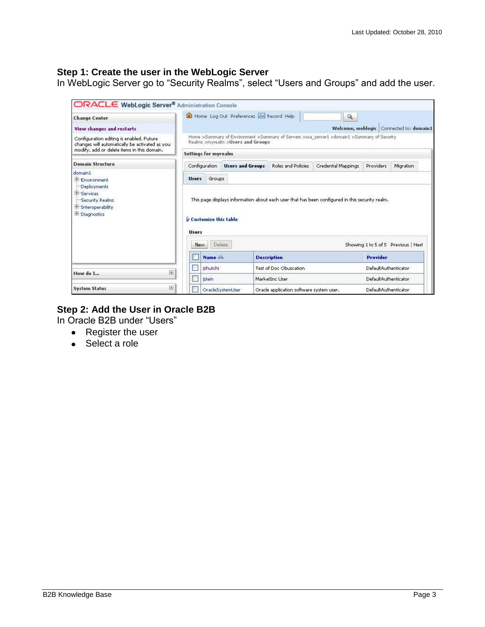## <span id="page-2-0"></span>**Step 1: Create the user in the WebLogic Server**

In WebLogic Server go to "Security Realms", select "Users and Groups" and add the user.

| ORACLE WebLogic Server® Administration Console                                                                                                                                                                                 |                                                             |                                            |                                          |                                                                                                 |                             |                                           |
|--------------------------------------------------------------------------------------------------------------------------------------------------------------------------------------------------------------------------------|-------------------------------------------------------------|--------------------------------------------|------------------------------------------|-------------------------------------------------------------------------------------------------|-----------------------------|-------------------------------------------|
| <b>Change Center</b>                                                                                                                                                                                                           |                                                             | Ti Home Log Out Preferences Ad Record Help |                                          | $\mathbf{Q}$                                                                                    |                             |                                           |
| <b>View changes and restarts</b>                                                                                                                                                                                               |                                                             |                                            |                                          |                                                                                                 |                             | Welcome, weblogic   Connected to: domain1 |
| Home >Summary of Environment >Summary of Servers >soa_server1 >domain1 >Summary of Security<br>Configuration editing is enabled. Future<br>Realms >myrealm >Users and Groups<br>changes will automatically be activated as you |                                                             |                                            |                                          |                                                                                                 |                             |                                           |
| modify, add or delete items in this domain.                                                                                                                                                                                    | Settings for myrealm                                        |                                            |                                          |                                                                                                 |                             |                                           |
| <b>Domain Structure</b>                                                                                                                                                                                                        | Configuration                                               | <b>Users and Groups</b>                    | Roles and Policies                       | Credential Mappings                                                                             | Providers                   | Migration                                 |
| domain1<br>Environment                                                                                                                                                                                                         | Groups<br><b>Users</b>                                      |                                            |                                          |                                                                                                 |                             |                                           |
| -Deployments<br>Services<br>Security Realms<br>Interoperability<br><b>El Diagnostics</b>                                                                                                                                       | Customize this table<br><b>Users</b>                        |                                            |                                          | This page displays information about each user that has been configured in this security realm. |                             |                                           |
|                                                                                                                                                                                                                                | Delete<br>Showing 1 to 5 of 5 Previous   Next<br><b>New</b> |                                            |                                          |                                                                                                 |                             |                                           |
|                                                                                                                                                                                                                                | Name <                                                      |                                            | <b>Description</b>                       |                                                                                                 | <b>Provider</b>             |                                           |
| $\overline{+}$<br>How do I                                                                                                                                                                                                     | ishutchi                                                    |                                            | Test of Doc Obuscation                   |                                                                                                 | DefaultAuthenticator        |                                           |
|                                                                                                                                                                                                                                | istein                                                      |                                            | MarketInc User                           |                                                                                                 | <b>DefaultAuthenticator</b> |                                           |
| 国<br><b>System Status</b>                                                                                                                                                                                                      |                                                             | OracleSystemUser                           | Oracle application software system user. |                                                                                                 | DefaultAuthenticator        |                                           |

### <span id="page-2-1"></span>**Step 2: Add the User in Oracle B2B**

In Oracle B2B under "Users"

- Register the user
- Select a role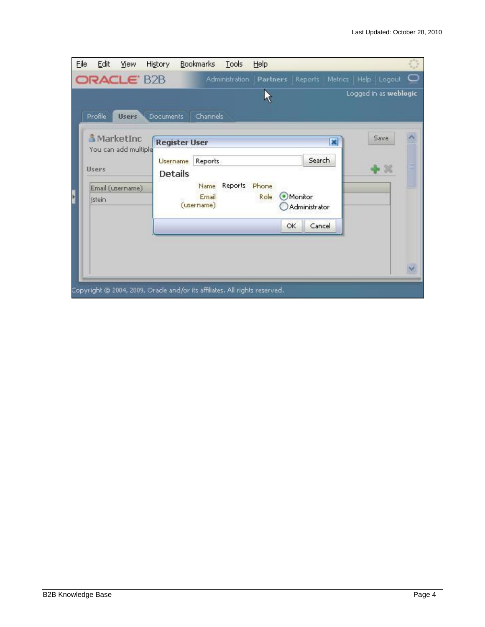| Eile<br>Edit<br>View                                                                                                                               | Bookmarks<br>History                                                                   | Tools                 | Help                     |                              |                         |   |
|----------------------------------------------------------------------------------------------------------------------------------------------------|----------------------------------------------------------------------------------------|-----------------------|--------------------------|------------------------------|-------------------------|---|
| ORACLE B2B                                                                                                                                         |                                                                                        | <b>Administration</b> | <b>Partners</b>          | <b>Reports</b>               | Metrics   Help   Logout | O |
| Profile<br><b>Users</b>                                                                                                                            | <b>Channels</b><br>Documents.                                                          |                       |                          |                              | Logged in as weblogic   |   |
| <b>MarketInc</b><br>You can add multiple<br><b>Users</b><br>Email (username)<br>$\begin{array}{c} \bullet \\ \bullet \end{array}$<br><b>istein</b> | <b>Register User</b><br>Reports<br>Username.<br>Details<br>Name<br>Email<br>(username) | Reports               | Phone<br>Monitor<br>Role | 図<br>Search<br>Administrator | Save<br>$+ 30$          |   |
|                                                                                                                                                    |                                                                                        |                       | OK                       | Cancel                       |                         |   |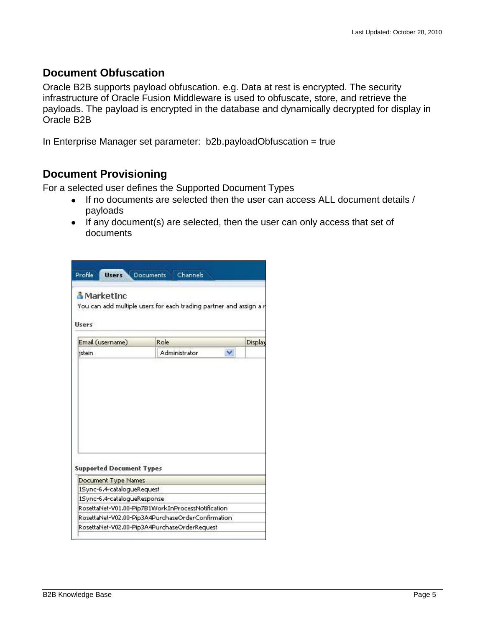## <span id="page-4-0"></span>**Document Obfuscation**

Oracle B2B supports payload obfuscation. e.g. Data at rest is encrypted. The security infrastructure of Oracle Fusion Middleware is used to obfuscate, store, and retrieve the payloads. The payload is encrypted in the database and dynamically decrypted for display in Oracle B2B

In Enterprise Manager set parameter: b2b.payloadObfuscation = true

## <span id="page-4-1"></span>**Document Provisioning**

For a selected user defines the Supported Document Types

- If no documents are selected then the user can access ALL document details / payloads
- If any document(s) are selected, then the user can only access that set of documents

| <b>S</b> MarketInc<br><b>Users</b>                     | You can add multiple users for each trading partner and assign a r                                     |   |         |
|--------------------------------------------------------|--------------------------------------------------------------------------------------------------------|---|---------|
| Email (username)                                       | Role                                                                                                   |   | Display |
| istein                                                 | <b>Administrator</b>                                                                                   | ◡ |         |
|                                                        |                                                                                                        |   |         |
|                                                        |                                                                                                        |   |         |
| <b>Supported Document Types</b><br>Document Type Names |                                                                                                        |   |         |
| 1Sync-6.4-catalogueRequest                             |                                                                                                        |   |         |
| 1Sync-6.4-catalogueResponse                            |                                                                                                        |   |         |
|                                                        | RosettaNet-V01.00-Pip7B1WorkInProcessNotification<br>RosettaNet-V02.00-Pip3A4PurchaseOrderConfirmation |   |         |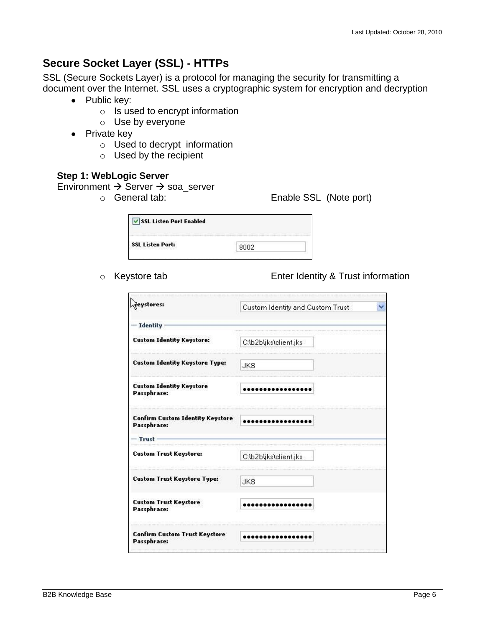## <span id="page-5-0"></span>**Secure Socket Layer (SSL) - HTTPs**

SSL (Secure Sockets Layer) is a protocol for managing the security for transmitting a

- document over the Internet. SSL uses a cryptographic system for encryption and decryption • Public key:
	- o Is used to encrypt information
	- o Use by everyone
	- $\bullet$  Private key
		- o Used to decrypt information
		- o Used by the recipient

#### <span id="page-5-1"></span>**Step 1: WebLogic Server**

Environment  $\rightarrow$  Server  $\rightarrow$  soa\_server

o General tab: Enable SSL (Note port)

| <b>SSL Listen Port Enabled</b>                                                                                                                                                                                                                                                                     |      |  |
|----------------------------------------------------------------------------------------------------------------------------------------------------------------------------------------------------------------------------------------------------------------------------------------------------|------|--|
| was a construction of the construction of the construction of the construction of the construction of the construction of the construction of the construction of the construction of the construction of the construction of<br><b>SSL Listen Port:</b><br>10:10:00 오늘 20:00 오늘 20:00 20:00 20:00 | 8002 |  |

## o Keystore tab Enter Identity & Trust information

| Feystores:                                                      | Custom Identity and Custom Trust |
|-----------------------------------------------------------------|----------------------------------|
| - Identity                                                      |                                  |
| <b>Custom Identity Keystore:</b>                                | C:\b2b\jks\client.jks            |
| <b>Custom Identity Keystore Type:</b>                           | JKS                              |
| <b>Custom Identity Keystore</b><br>Passphrase:                  |                                  |
| <b>Confirm Custom Identity Keystore</b><br>Passphrase:<br>Trust |                                  |
| <b>Custom Trust Keystore:</b>                                   | C:\b2b\jks\client.jks            |
| <b>Custom Trust Keystore Type:</b>                              | <b>JKS</b>                       |
| <b>Custom Trust Keystore</b><br>Passphrase:                     |                                  |
| <b>Confirm Custom Trust Keystore</b><br>Passphrase:             |                                  |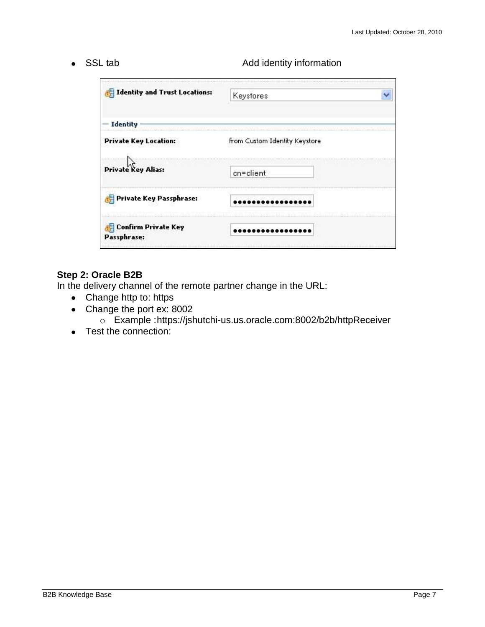• SSL tab Add identity information

| <b>Identity and Trust Locations:</b>      | Keystores                     |
|-------------------------------------------|-------------------------------|
| $-$ Identity                              |                               |
| <b>Private Key Location:</b>              | from Custom Identity Keystore |
| <b>Private Rey Alias:</b>                 | cn=client                     |
| Private Key Passphrase:                   |                               |
| <b>Confirm Private Key</b><br>Passphrase: |                               |

## <span id="page-6-0"></span>**Step 2: Oracle B2B**

In the delivery channel of the remote partner change in the URL:

- Change http to: https
- Change the port ex: 8002
	- o Example [:https://jshutchi-us.us.oracle.com:8002/b2b/httpReceiver](https://jshutchi-us.us.oracle.com:8002/b2b/httpReceiver)
- Test the connection: